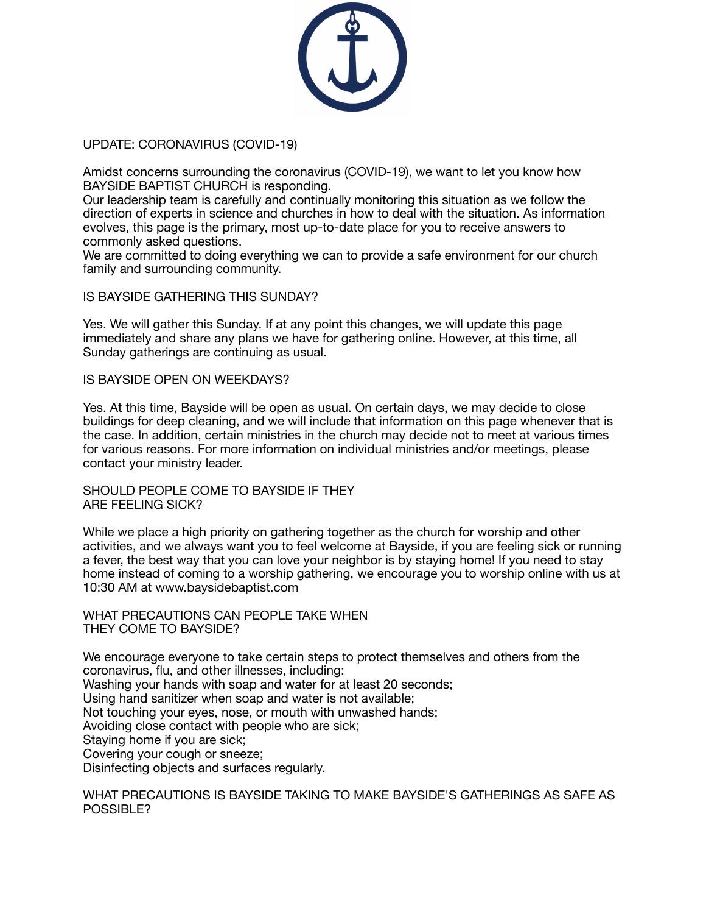

# UPDATE: CORONAVIRUS (COVID-19)

Amidst concerns surrounding the coronavirus (COVID-19), we want to let you know how BAYSIDE BAPTIST CHURCH is responding.

Our leadership team is carefully and continually monitoring this situation as we follow the direction of experts in science and churches in how to deal with the situation. As information evolves, this page is the primary, most up-to-date place for you to receive answers to commonly asked questions.

We are committed to doing everything we can to provide a safe environment for our church family and surrounding community.

# IS BAYSIDE GATHERING THIS SUNDAY?

Yes. We will gather this Sunday. If at any point this changes, we will update this page immediately and share any plans we have for gathering online. However, at this time, all Sunday gatherings are continuing as usual.

### IS BAYSIDE OPEN ON WEEKDAYS?

Yes. At this time, Bayside will be open as usual. On certain days, we may decide to close buildings for deep cleaning, and we will include that information on this page whenever that is the case. In addition, certain ministries in the church may decide not to meet at various times for various reasons. For more information on individual ministries and/or meetings, please contact your ministry leader.

SHOULD PEOPLE COME TO BAYSIDE IF THEY ARE FEELING SICK?

While we place a high priority on gathering together as the church for worship and other activities, and we always want you to feel welcome at Bayside, if you are feeling sick or running a fever, the best way that you can love your neighbor is by staying home! If you need to stay home instead of coming to a worship gathering, we encourage you to worship online with us at 10:30 AM at www.baysidebaptist.com

WHAT PRECAUTIONS CAN PEOPLE TAKE WHEN THEY COME TO BAYSIDE?

We encourage everyone to take certain steps to protect themselves and others from the coronavirus, flu, and other illnesses, including: Washing your hands with soap and water for at least 20 seconds; Using hand sanitizer when soap and water is not available; Not touching your eyes, nose, or mouth with unwashed hands; Avoiding close contact with people who are sick; Staying home if you are sick; Covering your cough or sneeze; Disinfecting objects and surfaces regularly.

WHAT PRECAUTIONS IS BAYSIDE TAKING TO MAKE BAYSIDE'S GATHERINGS AS SAFE AS POSSIBLE?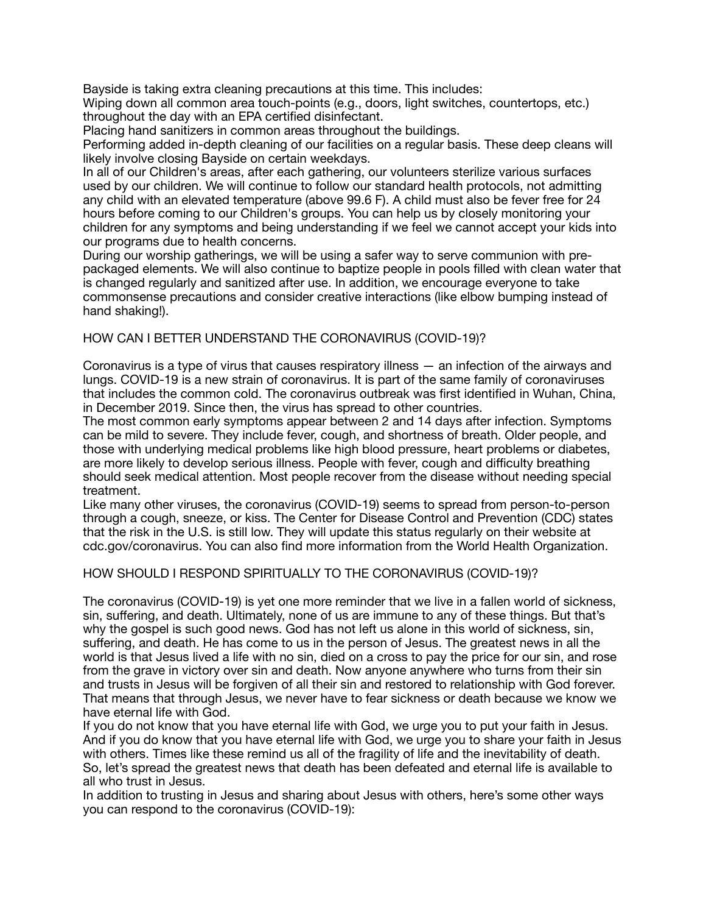Bayside is taking extra cleaning precautions at this time. This includes:

Wiping down all common area touch-points (e.g., doors, light switches, countertops, etc.) throughout the day with an EPA certified disinfectant.

Placing hand sanitizers in common areas throughout the buildings.

Performing added in-depth cleaning of our facilities on a regular basis. These deep cleans will likely involve closing Bayside on certain weekdays.

In all of our Children's areas, after each gathering, our volunteers sterilize various surfaces used by our children. We will continue to follow our standard health protocols, not admitting any child with an elevated temperature (above 99.6 F). A child must also be fever free for 24 hours before coming to our Children's groups. You can help us by closely monitoring your children for any symptoms and being understanding if we feel we cannot accept your kids into our programs due to health concerns.

During our worship gatherings, we will be using a safer way to serve communion with prepackaged elements. We will also continue to baptize people in pools filled with clean water that is changed regularly and sanitized after use. In addition, we encourage everyone to take commonsense precautions and consider creative interactions (like elbow bumping instead of hand shaking!).

# HOW CAN I BETTER UNDERSTAND THE CORONAVIRUS (COVID-19)?

Coronavirus is a type of virus that causes respiratory illness — an infection of the airways and lungs. COVID-19 is a new strain of coronavirus. It is part of the same family of coronaviruses that includes the common cold. The coronavirus outbreak was first identified in Wuhan, China, in December 2019. Since then, the virus has spread to other countries.

The most common early symptoms appear between 2 and 14 days after infection. Symptoms can be mild to severe. They include fever, cough, and shortness of breath. Older people, and those with underlying medical problems like high blood pressure, heart problems or diabetes, are more likely to develop serious illness. People with fever, cough and difficulty breathing should seek medical attention. Most people recover from the disease without needing special treatment.

Like many other viruses, the coronavirus (COVID-19) seems to spread from person-to-person through a cough, sneeze, or kiss. The Center for Disease Control and Prevention (CDC) states that the risk in the U.S. is still low. They will update this status regularly on their website at cdc.gov/coronavirus. You can also find more information from the World Health Organization.

### HOW SHOULD I RESPOND SPIRITUALLY TO THE CORONAVIRUS (COVID-19)?

The coronavirus (COVID-19) is yet one more reminder that we live in a fallen world of sickness, sin, suffering, and death. Ultimately, none of us are immune to any of these things. But that's why the gospel is such good news. God has not left us alone in this world of sickness, sin, suffering, and death. He has come to us in the person of Jesus. The greatest news in all the world is that Jesus lived a life with no sin, died on a cross to pay the price for our sin, and rose from the grave in victory over sin and death. Now anyone anywhere who turns from their sin and trusts in Jesus will be forgiven of all their sin and restored to relationship with God forever. That means that through Jesus, we never have to fear sickness or death because we know we have eternal life with God.

If you do not know that you have eternal life with God, we urge you to put your faith in Jesus. And if you do know that you have eternal life with God, we urge you to share your faith in Jesus with others. Times like these remind us all of the fragility of life and the inevitability of death. So, let's spread the greatest news that death has been defeated and eternal life is available to all who trust in Jesus.

In addition to trusting in Jesus and sharing about Jesus with others, here's some other ways you can respond to the coronavirus (COVID-19):